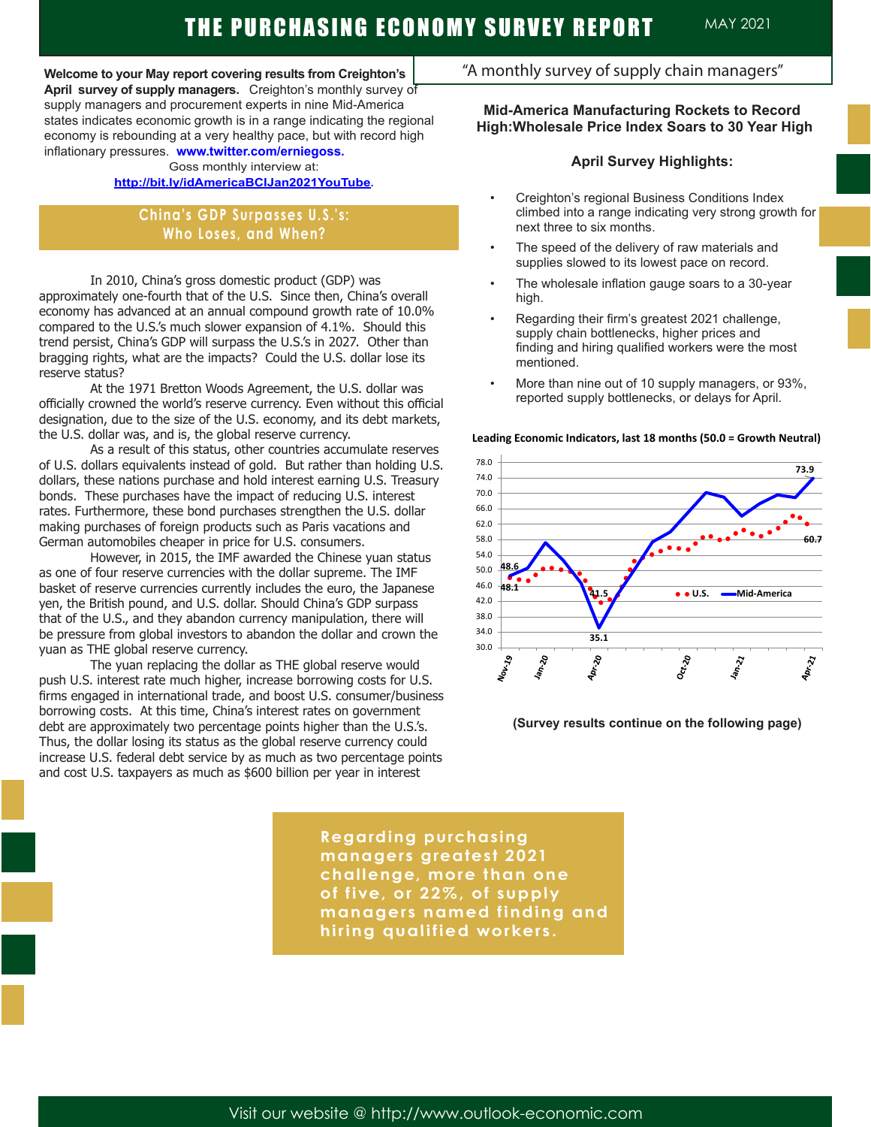# THE PURCHASING ECONOMY SURVEY REPORT MAY 2021

**Welcome to your May report covering results from Creighton's April survey of supply managers.** Creighton's monthly survey of supply managers and procurement experts in nine Mid-America states indicates economic growth is in a range indicating the regional economy is rebounding at a very healthy pace, but with record high inflationary pressures. **www.twitter.com/erniegoss.**

Goss monthly interview at:

## **http://bit.ly/idAmericaBCIJan2021YouTube.**

**China's GDP Surpasses U.S.'s: Who Loses, and When?**

In 2010, China's gross domestic product (GDP) was approximately one-fourth that of the U.S. Since then, China's overall economy has advanced at an annual compound growth rate of 10.0% compared to the U.S.'s much slower expansion of 4.1%. Should this trend persist, China's GDP will surpass the U.S.'s in 2027. Other than bragging rights, what are the impacts? Could the U.S. dollar lose its reserve status?

At the 1971 Bretton Woods Agreement, the U.S. dollar was officially crowned the world's reserve currency. Even without this official designation, due to the size of the U.S. economy, and its debt markets, the U.S. dollar was, and is, the global reserve currency.

As a result of this status, other countries accumulate reserves of U.S. dollars equivalents instead of gold. But rather than holding U.S. dollars, these nations purchase and hold interest earning U.S. Treasury bonds. These purchases have the impact of reducing U.S. interest rates. Furthermore, these bond purchases strengthen the U.S. dollar making purchases of foreign products such as Paris vacations and German automobiles cheaper in price for U.S. consumers.

However, in 2015, the IMF awarded the Chinese yuan status as one of four reserve currencies with the dollar supreme. The IMF basket of reserve currencies currently includes the euro, the Japanese yen, the British pound, and U.S. dollar. Should China's GDP surpass that of the U.S., and they abandon currency manipulation, there will be pressure from global investors to abandon the dollar and crown the yuan as THE global reserve currency.

The yuan replacing the dollar as THE global reserve would push U.S. interest rate much higher, increase borrowing costs for U.S. firms engaged in international trade, and boost U.S. consumer/business borrowing costs. At this time, China's interest rates on government debt are approximately two percentage points higher than the U.S.'s. Thus, the dollar losing its status as the global reserve currency could increase U.S. federal debt service by as much as two percentage points and cost U.S. taxpayers as much as \$600 billion per year in interest

## "A monthly survey of supply chain managers"

### **Mid-America Manufacturing Rockets to Record High:Wholesale Price Index Soars to 30 Year High**

#### **April Survey Highlights:**

- Creighton's regional Business Conditions Index climbed into a range indicating very strong growth for next three to six months.
- The speed of the delivery of raw materials and supplies slowed to its lowest pace on record.
- The wholesale inflation gauge soars to a 30-year high.
- Regarding their firm's greatest 2021 challenge, supply chain bottlenecks, higher prices and finding and hiring qualified workers were the most mentioned.
- More than nine out of 10 supply managers, or 93%, reported supply bottlenecks, or delays for April.

#### **Leading Economic Indicators, last 18 months (50.0 = Growth Neutral)**



#### **(Survey results continue on the following page)**

**Regarding purchasing managers greatest 2021 challenge, more than one of five, or 22%, of supply managers named finding and hiring qualified workers.**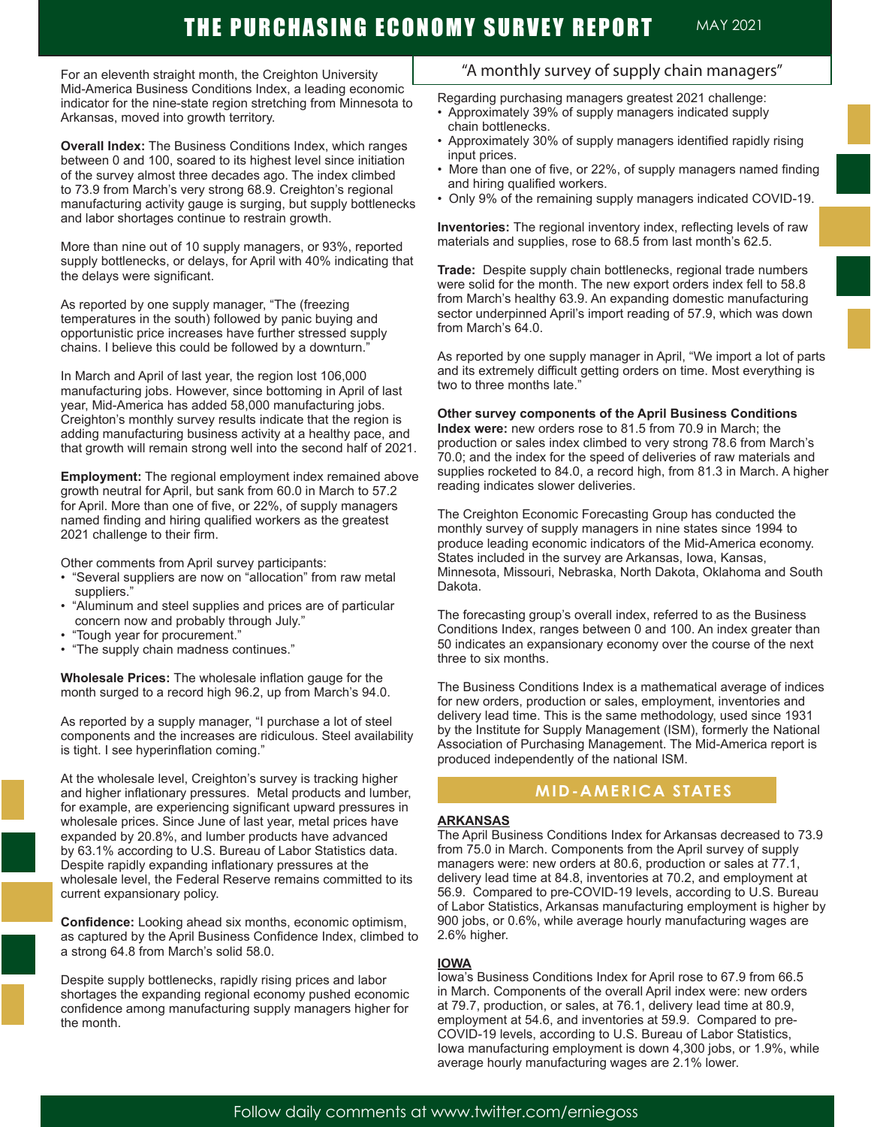# THE PURCHASING ECONOMY SURVEY REPORT MAY 2021

For an eleventh straight month, the Creighton University Mid-America Business Conditions Index, a leading economic indicator for the nine-state region stretching from Minnesota to Arkansas, moved into growth territory.

**Overall Index:** The Business Conditions Index, which ranges between 0 and 100, soared to its highest level since initiation of the survey almost three decades ago. The index climbed to 73.9 from March's very strong 68.9. Creighton's regional manufacturing activity gauge is surging, but supply bottlenecks and labor shortages continue to restrain growth.

More than nine out of 10 supply managers, or 93%, reported supply bottlenecks, or delays, for April with 40% indicating that the delays were significant.

As reported by one supply manager, "The (freezing temperatures in the south) followed by panic buying and opportunistic price increases have further stressed supply chains. I believe this could be followed by a downturn."

In March and April of last year, the region lost 106,000 manufacturing jobs. However, since bottoming in April of last year, Mid-America has added 58,000 manufacturing jobs. Creighton's monthly survey results indicate that the region is adding manufacturing business activity at a healthy pace, and that growth will remain strong well into the second half of 2021.

**Employment:** The regional employment index remained above growth neutral for April, but sank from 60.0 in March to 57.2 for April. More than one of five, or 22%, of supply managers named finding and hiring qualified workers as the greatest 2021 challenge to their firm.

Other comments from April survey participants:

- "Several suppliers are now on "allocation" from raw metal suppliers."
- "Aluminum and steel supplies and prices are of particular concern now and probably through July."
- "Tough year for procurement."
- "The supply chain madness continues."

**Wholesale Prices:** The wholesale inflation gauge for the month surged to a record high 96.2, up from March's 94.0.

As reported by a supply manager, "I purchase a lot of steel components and the increases are ridiculous. Steel availability is tight. I see hyperinflation coming."

At the wholesale level, Creighton's survey is tracking higher and higher inflationary pressures. Metal products and lumber, for example, are experiencing significant upward pressures in wholesale prices. Since June of last year, metal prices have expanded by 20.8%, and lumber products have advanced by 63.1% according to U.S. Bureau of Labor Statistics data. Despite rapidly expanding inflationary pressures at the wholesale level, the Federal Reserve remains committed to its current expansionary policy.

**Confidence:** Looking ahead six months, economic optimism, as captured by the April Business Confidence Index, climbed to a strong 64.8 from March's solid 58.0.

Despite supply bottlenecks, rapidly rising prices and labor shortages the expanding regional economy pushed economic confidence among manufacturing supply managers higher for the month.

# "A monthly survey of supply chain managers"

Regarding purchasing managers greatest 2021 challenge:

- Approximately 39% of supply managers indicated supply chain bottlenecks.
- Approximately 30% of supply managers identified rapidly rising input prices.
- More than one of five, or 22%, of supply managers named finding and hiring qualified workers.
- Only 9% of the remaining supply managers indicated COVID-19.

**Inventories:** The regional inventory index, reflecting levels of raw materials and supplies, rose to 68.5 from last month's 62.5.

**Trade:** Despite supply chain bottlenecks, regional trade numbers were solid for the month. The new export orders index fell to 58.8 from March's healthy 63.9. An expanding domestic manufacturing sector underpinned April's import reading of 57.9, which was down from March's 64.0.

As reported by one supply manager in April, "We import a lot of parts and its extremely difficult getting orders on time. Most everything is two to three months late."

#### **Other survey components of the April Business Conditions**

**Index were:** new orders rose to 81.5 from 70.9 in March; the production or sales index climbed to very strong 78.6 from March's 70.0; and the index for the speed of deliveries of raw materials and supplies rocketed to 84.0, a record high, from 81.3 in March. A higher reading indicates slower deliveries.

The Creighton Economic Forecasting Group has conducted the monthly survey of supply managers in nine states since 1994 to produce leading economic indicators of the Mid-America economy. States included in the survey are Arkansas, Iowa, Kansas, Minnesota, Missouri, Nebraska, North Dakota, Oklahoma and South Dakota.

The forecasting group's overall index, referred to as the Business Conditions Index, ranges between 0 and 100. An index greater than 50 indicates an expansionary economy over the course of the next three to six months.

The Business Conditions Index is a mathematical average of indices for new orders, production or sales, employment, inventories and delivery lead time. This is the same methodology, used since 1931 by the Institute for Supply Management (ISM), formerly the National Association of Purchasing Management. The Mid-America report is produced independently of the national ISM.

## **MID-AMERICA STATES**

#### **ARKANSAS**

The April Business Conditions Index for Arkansas decreased to 73.9 from 75.0 in March. Components from the April survey of supply managers were: new orders at 80.6, production or sales at 77.1, delivery lead time at 84.8, inventories at 70.2, and employment at 56.9. Compared to pre-COVID-19 levels, according to U.S. Bureau of Labor Statistics, Arkansas manufacturing employment is higher by 900 jobs, or 0.6%, while average hourly manufacturing wages are 2.6% higher.

#### **IOWA**

Iowa's Business Conditions Index for April rose to 67.9 from 66.5 in March. Components of the overall April index were: new orders at 79.7, production, or sales, at 76.1, delivery lead time at 80.9, employment at 54.6, and inventories at 59.9. Compared to pre-COVID-19 levels, according to U.S. Bureau of Labor Statistics, Iowa manufacturing employment is down 4,300 jobs, or 1.9%, while average hourly manufacturing wages are 2.1% lower.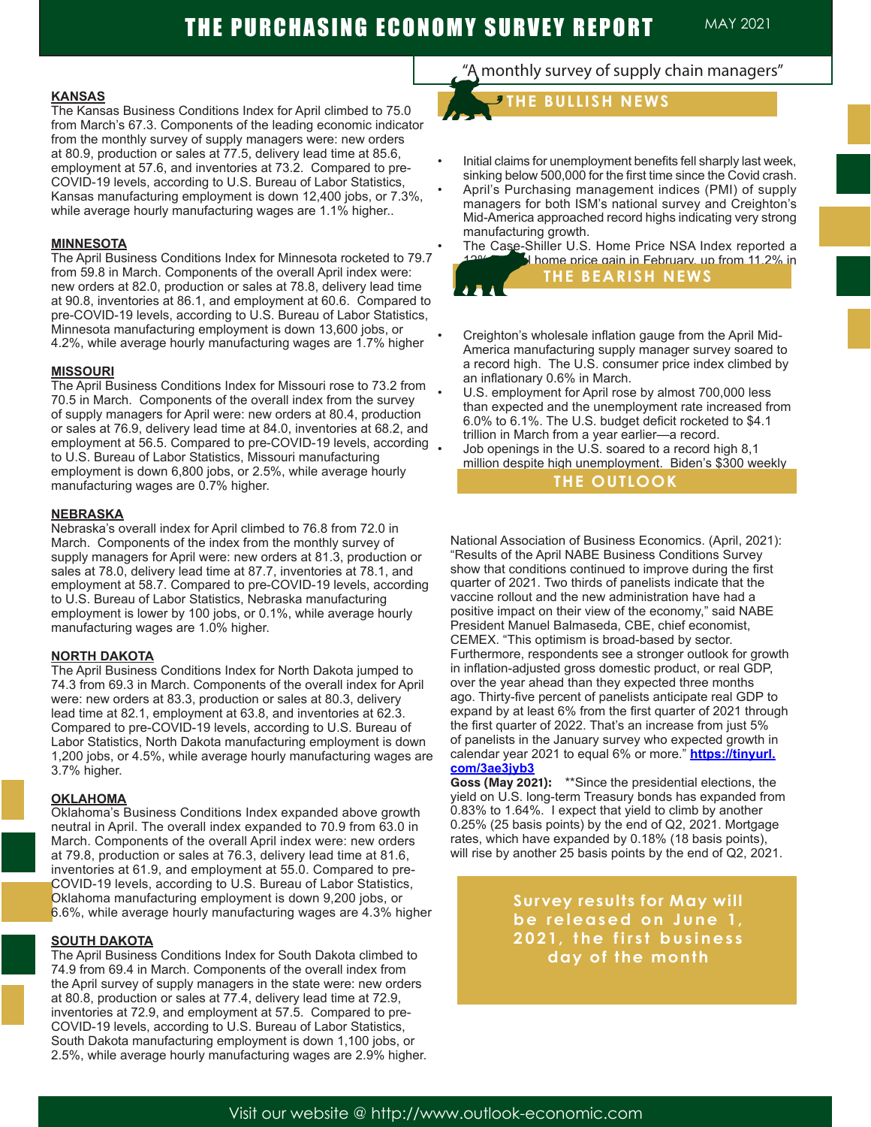#### **KANSAS**

The Kansas Business Conditions Index for April climbed to 75.0 from March's 67.3. Components of the leading economic indicator from the monthly survey of supply managers were: new orders at 80.9, production or sales at 77.5, delivery lead time at 85.6, employment at 57.6, and inventories at 73.2. Compared to pre-COVID-19 levels, according to U.S. Bureau of Labor Statistics, Kansas manufacturing employment is down 12,400 jobs, or 7.3%, while average hourly manufacturing wages are 1.1% higher..

#### **MINNESOTA**

The April Business Conditions Index for Minnesota rocketed to 79.7 from 59.8 in March. Components of the overall April index were: new orders at 82.0, production or sales at 78.8, delivery lead time at 90.8, inventories at 86.1, and employment at 60.6. Compared to pre-COVID-19 levels, according to U.S. Bureau of Labor Statistics, Minnesota manufacturing employment is down 13,600 jobs, or 4.2%, while average hourly manufacturing wages are 1.7% higher

#### **MISSOURI**

The April Business Conditions Index for Missouri rose to 73.2 from 70.5 in March. Components of the overall index from the survey of supply managers for April were: new orders at 80.4, production or sales at 76.9, delivery lead time at 84.0, inventories at 68.2, and employment at 56.5. Compared to pre-COVID-19 levels, according. to U.S. Bureau of Labor Statistics, Missouri manufacturing employment is down 6,800 jobs, or 2.5%, while average hourly manufacturing wages are 0.7% higher.

#### **NEBRASKA**

Nebraska's overall index for April climbed to 76.8 from 72.0 in March. Components of the index from the monthly survey of supply managers for April were: new orders at 81.3, production or sales at 78.0, delivery lead time at 87.7, inventories at 78.1, and employment at 58.7. Compared to pre-COVID-19 levels, according to U.S. Bureau of Labor Statistics, Nebraska manufacturing employment is lower by 100 jobs, or 0.1%, while average hourly manufacturing wages are 1.0% higher.

#### **NORTH DAKOTA**

The April Business Conditions Index for North Dakota jumped to 74.3 from 69.3 in March. Components of the overall index for April were: new orders at 83.3, production or sales at 80.3, delivery lead time at 82.1, employment at 63.8, and inventories at 62.3. Compared to pre-COVID-19 levels, according to U.S. Bureau of Labor Statistics, North Dakota manufacturing employment is down 1,200 jobs, or 4.5%, while average hourly manufacturing wages are 3.7% higher.

#### **OKLAHOMA**

Oklahoma's Business Conditions Index expanded above growth neutral in April. The overall index expanded to 70.9 from 63.0 in March. Components of the overall April index were: new orders at 79.8, production or sales at 76.3, delivery lead time at 81.6, inventories at 61.9, and employment at 55.0. Compared to pre-COVID-19 levels, according to U.S. Bureau of Labor Statistics, Oklahoma manufacturing employment is down 9,200 jobs, or 6.6%, while average hourly manufacturing wages are 4.3% higher

#### **SOUTH DAKOTA**

The April Business Conditions Index for South Dakota climbed to 74.9 from 69.4 in March. Components of the overall index from the April survey of supply managers in the state were: new orders at 80.8, production or sales at 77.4, delivery lead time at 72.9, inventories at 72.9, and employment at 57.5. Compared to pre-COVID-19 levels, according to U.S. Bureau of Labor Statistics, South Dakota manufacturing employment is down 1,100 jobs, or 2.5%, while average hourly manufacturing wages are 2.9% higher.

# "A monthly survey of supply chain managers"

 **THE BULLISH NEWS**

- Initial claims for unemployment benefits fell sharply last week, sinking below 500,000 for the first time since the Covid crash.
- April's Purchasing management indices (PMI) of supply managers for both ISM's national survey and Creighton's Mid-America approached record highs indicating very strong manufacturing growth.
- The Case-Shiller U.S. Home Price NSA Index reported a I home price gain in February, up from 11.2% in **THE BEARISH NEWS**
- Creighton's wholesale inflation gauge from the April Mid-America manufacturing supply manager survey soared to a record high. The U.S. consumer price index climbed by an inflationary 0.6% in March.
- U.S. employment for April rose by almost 700,000 less than expected and the unemployment rate increased from 6.0% to 6.1%. The U.S. budget deficit rocketed to \$4.1 trillion in March from a year earlier—a record. • Job openings in the U.S. soared to a record high 8,1
- million despite high unemployment. Biden's \$300 weekly **bonus for unexployed workers is part of the problem. The problem is part of the problem. The problem is part of the problem. The problem is part of the problem is part of the problem. The problem is part of the problem in**

National Association of Business Economics. (April, 2021): "Results of the April NABE Business Conditions Survey show that conditions continued to improve during the first quarter of 2021. Two thirds of panelists indicate that the vaccine rollout and the new administration have had a positive impact on their view of the economy," said NABE President Manuel Balmaseda, CBE, chief economist, CEMEX. "This optimism is broad-based by sector. Furthermore, respondents see a stronger outlook for growth in inflation-adjusted gross domestic product, or real GDP, over the year ahead than they expected three months ago. Thirty-five percent of panelists anticipate real GDP to expand by at least 6% from the first quarter of 2021 through the first quarter of 2022. That's an increase from just 5% of panelists in the January survey who expected growth in calendar year 2021 to equal 6% or more." **https://tinyurl. com/3ae3jyb3**

**Goss (May 2021):** \*\*Since the presidential elections, the yield on U.S. long-term Treasury bonds has expanded from 0.83% to 1.64%. I expect that yield to climb by another 0.25% (25 basis points) by the end of Q2, 2021. Mortgage rates, which have expanded by 0.18% (18 basis points), will rise by another 25 basis points by the end of Q2, 2021.

> **Survey results for May will**  be released on June 1, **2021, the first business day of the month**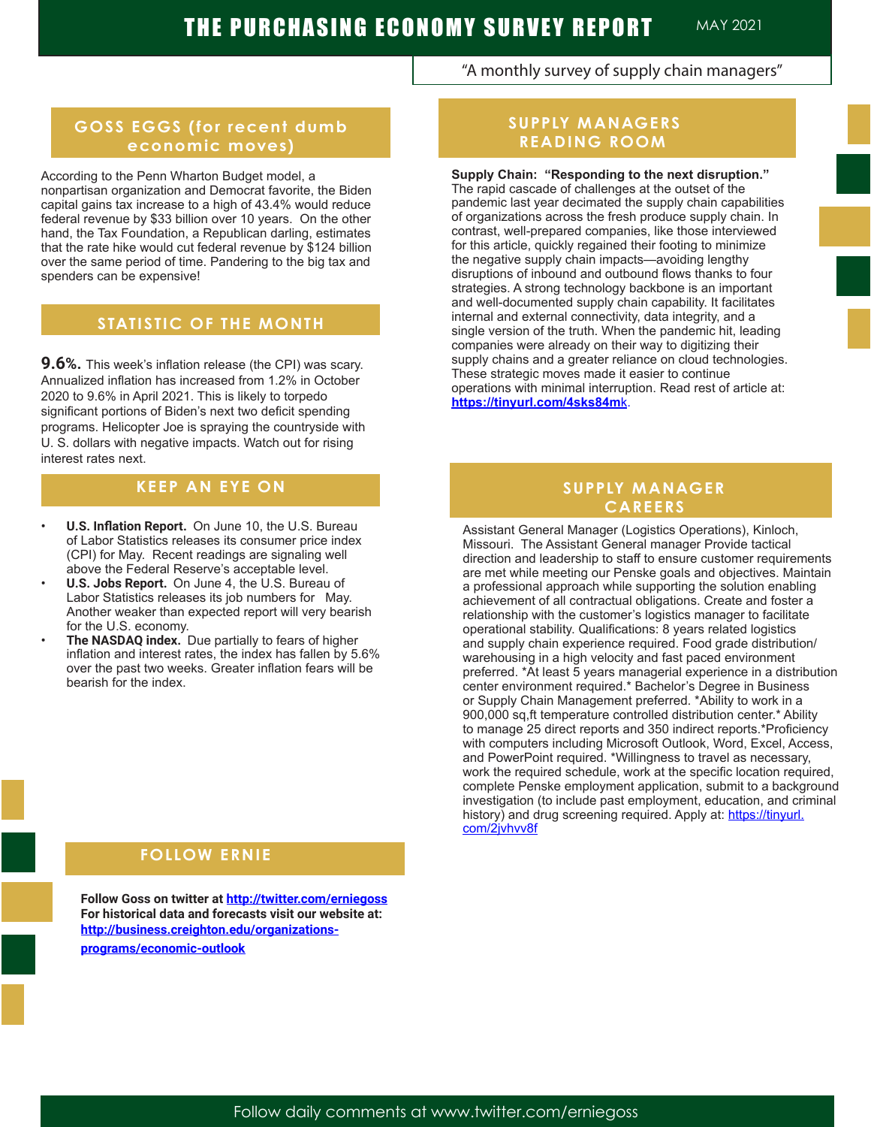"A monthly survey of supply chain managers"

# **GOSS EGGS (for recent dumb economic moves)**

### According to the Penn Wharton Budget model, a

nonpartisan organization and Democrat favorite, the Biden capital gains tax increase to a high of 43.4% would reduce federal revenue by \$33 billion over 10 years. On the other hand, the Tax Foundation, a Republican darling, estimates that the rate hike would cut federal revenue by \$124 billion over the same period of time. Pandering to the big tax and spenders can be expensive!

# **STATISTIC OF THE MONTH**

**9.6%.** This week's inflation release (the CPI) was scary. Annualized inflation has increased from 1.2% in October 2020 to 9.6% in April 2021. This is likely to torpedo significant portions of Biden's next two deficit spending programs. Helicopter Joe is spraying the countryside with U. S. dollars with negative impacts. Watch out for rising interest rates next.

# **KEEP AN EYE ON**

- **• U.S. Inflation Report.** On June 10, the U.S. Bureau of Labor Statistics releases its consumer price index (CPI) for May. Recent readings are signaling well above the Federal Reserve's acceptable level.
- **• U.S. Jobs Report.** On June 4, the U.S. Bureau of Labor Statistics releases its job numbers for May. Another weaker than expected report will very bearish for the U.S. economy.
- **• The NASDAQ index.** Due partially to fears of higher inflation and interest rates, the index has fallen by 5.6% over the past two weeks. Greater inflation fears will be bearish for the index.

## **FOLLOW ERNIE A FOLLOW ERNIE**

**Follow Goss on twitter at http://twitter.com/erniegoss For historical data and forecasts visit our website at: http://business.creighton.edu/organizationsprograms/economic-outlook** 

# **SUPPLY MANAGERS READING ROOM**

**Supply Chain: "Responding to the next disruption."**  The rapid cascade of challenges at the outset of the pandemic last year decimated the supply chain capabilities of organizations across the fresh produce supply chain. In contrast, well-prepared companies, like those interviewed for this article, quickly regained their footing to minimize the negative supply chain impacts—avoiding lengthy disruptions of inbound and outbound flows thanks to four strategies. A strong technology backbone is an important and well-documented supply chain capability. It facilitates internal and external connectivity, data integrity, and a single version of the truth. When the pandemic hit, leading companies were already on their way to digitizing their supply chains and a greater reliance on cloud technologies. These strategic moves made it easier to continue operations with minimal interruption. Read rest of article at: **https://tinyurl.com/4sks84m**k.

## **SUPPLY MANAGER CAREERS**

Assistant General Manager (Logistics Operations), Kinloch, Missouri. The Assistant General manager Provide tactical direction and leadership to staff to ensure customer requirements are met while meeting our Penske goals and objectives. Maintain a professional approach while supporting the solution enabling achievement of all contractual obligations. Create and foster a relationship with the customer's logistics manager to facilitate operational stability. Qualifications: 8 years related logistics and supply chain experience required. Food grade distribution/ warehousing in a high velocity and fast paced environment preferred. \*At least 5 years managerial experience in a distribution center environment required.\* Bachelor's Degree in Business or Supply Chain Management preferred. \*Ability to work in a 900,000 sq,ft temperature controlled distribution center.\* Ability to manage 25 direct reports and 350 indirect reports.\*Proficiency with computers including Microsoft Outlook, Word, Excel, Access, and PowerPoint required. \*Willingness to travel as necessary, work the required schedule, work at the specific location required, complete Penske employment application, submit to a background investigation (to include past employment, education, and criminal history) and drug screening required. Apply at: https://tinyurl. com/2jvhvv8f